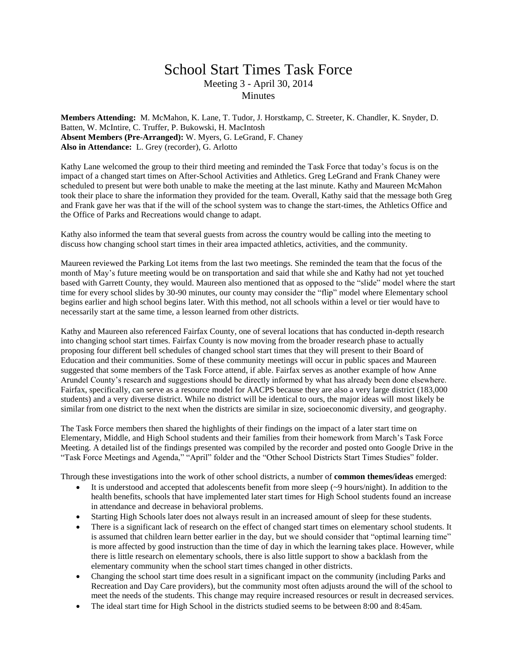## School Start Times Task Force Meeting 3 - April 30, 2014 **Minutes**

**Members Attending:** M. McMahon, K. Lane, T. Tudor, J. Horstkamp, C. Streeter, K. Chandler, K. Snyder, D. Batten, W. McIntire, C. Truffer, P. Bukowski, H. MacIntosh **Absent Members (Pre-Arranged):** W. Myers, G. LeGrand, F. Chaney **Also in Attendance:** L. Grey (recorder), G. Arlotto

Kathy Lane welcomed the group to their third meeting and reminded the Task Force that today's focus is on the impact of a changed start times on After-School Activities and Athletics. Greg LeGrand and Frank Chaney were scheduled to present but were both unable to make the meeting at the last minute. Kathy and Maureen McMahon took their place to share the information they provided for the team. Overall, Kathy said that the message both Greg and Frank gave her was that if the will of the school system was to change the start-times, the Athletics Office and the Office of Parks and Recreations would change to adapt.

Kathy also informed the team that several guests from across the country would be calling into the meeting to discuss how changing school start times in their area impacted athletics, activities, and the community.

Maureen reviewed the Parking Lot items from the last two meetings. She reminded the team that the focus of the month of May's future meeting would be on transportation and said that while she and Kathy had not yet touched based with Garrett County, they would. Maureen also mentioned that as opposed to the "slide" model where the start time for every school slides by 30-90 minutes, our county may consider the "flip" model where Elementary school begins earlier and high school begins later. With this method, not all schools within a level or tier would have to necessarily start at the same time, a lesson learned from other districts.

Kathy and Maureen also referenced Fairfax County, one of several locations that has conducted in-depth research into changing school start times. Fairfax County is now moving from the broader research phase to actually proposing four different bell schedules of changed school start times that they will present to their Board of Education and their communities. Some of these community meetings will occur in public spaces and Maureen suggested that some members of the Task Force attend, if able. Fairfax serves as another example of how Anne Arundel County's research and suggestions should be directly informed by what has already been done elsewhere. Fairfax, specifically, can serve as a resource model for AACPS because they are also a very large district (183,000 students) and a very diverse district. While no district will be identical to ours, the major ideas will most likely be similar from one district to the next when the districts are similar in size, socioeconomic diversity, and geography.

The Task Force members then shared the highlights of their findings on the impact of a later start time on Elementary, Middle, and High School students and their families from their homework from March's Task Force Meeting. A detailed list of the findings presented was compiled by the recorder and posted onto Google Drive in the "Task Force Meetings and Agenda," "April" folder and the "Other School Districts Start Times Studies" folder.

Through these investigations into the work of other school districts, a number of **common themes/ideas** emerged:

- It is understood and accepted that adolescents benefit from more sleep  $(\sim)9$  hours/night). In addition to the health benefits, schools that have implemented later start times for High School students found an increase in attendance and decrease in behavioral problems.
- Starting High Schools later does not always result in an increased amount of sleep for these students.
- There is a significant lack of research on the effect of changed start times on elementary school students. It is assumed that children learn better earlier in the day, but we should consider that "optimal learning time" is more affected by good instruction than the time of day in which the learning takes place. However, while there is little research on elementary schools, there is also little support to show a backlash from the elementary community when the school start times changed in other districts.
- Changing the school start time does result in a significant impact on the community (including Parks and Recreation and Day Care providers), but the community most often adjusts around the will of the school to meet the needs of the students. This change may require increased resources or result in decreased services.
- The ideal start time for High School in the districts studied seems to be between 8:00 and 8:45am.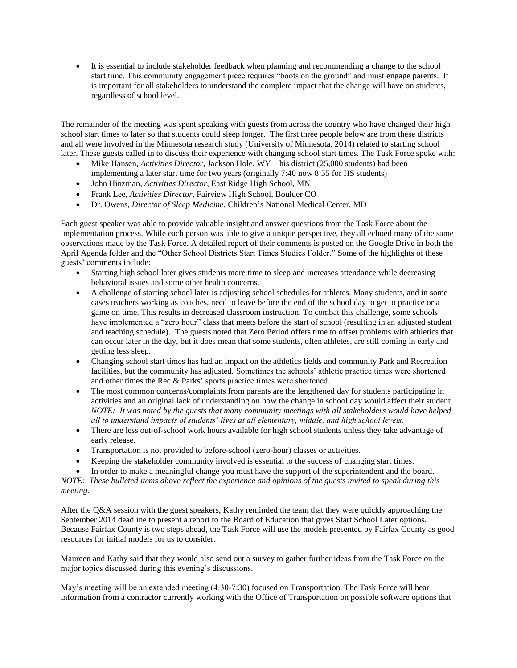It is essential to include stakeholder feedback when planning and recommending a change to the school start time. This community engagement piece requires "boots on the ground" and must engage parents. It is important for all stakeholders to understand the complete impact that the change will have on students, regardless of school level.

The remainder of the meeting was spent speaking with guests from across the country who have changed their high school start times to later so that students could sleep longer. The first three people below are from these districts and all were involved in the Minnesota research study (University of Minnesota, 2014) related to starting school later. These guests called in to discuss their experience with changing school start times. The Task Force spoke with:

- Mike Hansen, *Activities Director*, Jackson Hole, WY—his district (25,000 students) had been implementing a later start time for two years (originally 7:40 now 8:55 for HS students)
- John Hinzman, *Activities Director*, East Ridge High School, MN
- Frank Lee, *Activities Director*, Fairview High School, Boulder CO
- Dr. Owens, *Director of Sleep Medicine*, Children's National Medical Center, MD

Each guest speaker was able to provide valuable insight and answer questions from the Task Force about the implementation process. While each person was able to give a unique perspective, they all echoed many of the same observations made by the Task Force. A detailed report of their comments is posted on the Google Drive in both the April Agenda folder and the "Other School Districts Start Times Studies Folder." Some of the highlights of these guests' comments include:

- Starting high school later gives students more time to sleep and increases attendance while decreasing behavioral issues and some other health concerns.
- A challenge of starting school later is adjusting school schedules for athletes. Many students, and in some cases teachers working as coaches, need to leave before the end of the school day to get to practice or a game on time. This results in decreased classroom instruction. To combat this challenge, some schools have implemented a "zero hour" class that meets before the start of school (resulting in an adjusted student and teaching schedule). The guests noted that Zero Period offers time to offset problems with athletics that can occur later in the day, but it does mean that some students, often athletes, are still coming in early and getting less sleep.
- Changing school start times has had an impact on the athletics fields and community Park and Recreation facilities, but the community has adjusted. Sometimes the schools' athletic practice times were shortened and other times the Rec & Parks' sports practice times were shortened.
- The most common concerns/complaints from parents are the lengthened day for students participating in activities and an original lack of understanding on how the change in school day would affect their student. *NOTE: It was noted by the guests that many community meetings with all stakeholders would have helped all to understand impacts of students' lives at all elementary, middle, and high school levels.*
- There are less out-of-school work hours available for high school students unless they take advantage of early release.
- Transportation is not provided to before-school (zero-hour) classes or activities.
- Keeping the stakeholder community involved is essential to the success of changing start times.
- In order to make a meaningful change you must have the support of the superintendent and the board.

*NOTE: These bulleted items above reflect the experience and opinions of the guests invited to speak during this meeting.*

After the Q&A session with the guest speakers, Kathy reminded the team that they were quickly approaching the September 2014 deadline to present a report to the Board of Education that gives Start School Later options. Because Fairfax County is two steps ahead, the Task Force will use the models presented by Fairfax County as good resources for initial models for us to consider.

Maureen and Kathy said that they would also send out a survey to gather further ideas from the Task Force on the major topics discussed during this evening's discussions.

May's meeting will be an extended meeting (4:30-7:30) focused on Transportation. The Task Force will hear information from a contractor currently working with the Office of Transportation on possible software options that